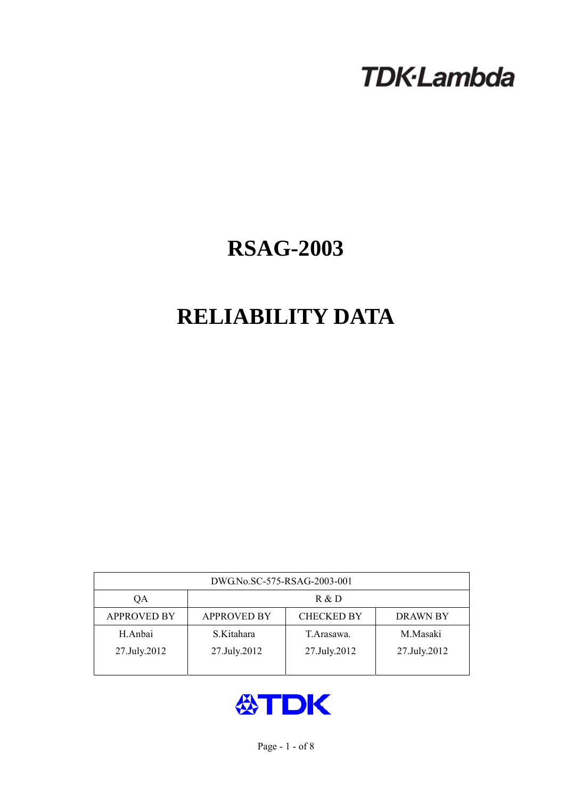# **TDK-Lambda**

## **RSAG-2003**

## **RELIABILITY DATA**

| DWG.No.SC-575-RSAG-2003-001 |                                                            |              |              |  |  |  |
|-----------------------------|------------------------------------------------------------|--------------|--------------|--|--|--|
| QA                          | R & D                                                      |              |              |  |  |  |
| <b>APPROVED BY</b>          | <b>APPROVED BY</b><br><b>CHECKED BY</b><br><b>DRAWN BY</b> |              |              |  |  |  |
| H.Anbai                     | S.Kitahara                                                 | T. Arasawa.  | M.Masaki     |  |  |  |
| 27.July.2012                | 27.July.2012                                               | 27.July.2012 | 27.July.2012 |  |  |  |
|                             |                                                            |              |              |  |  |  |

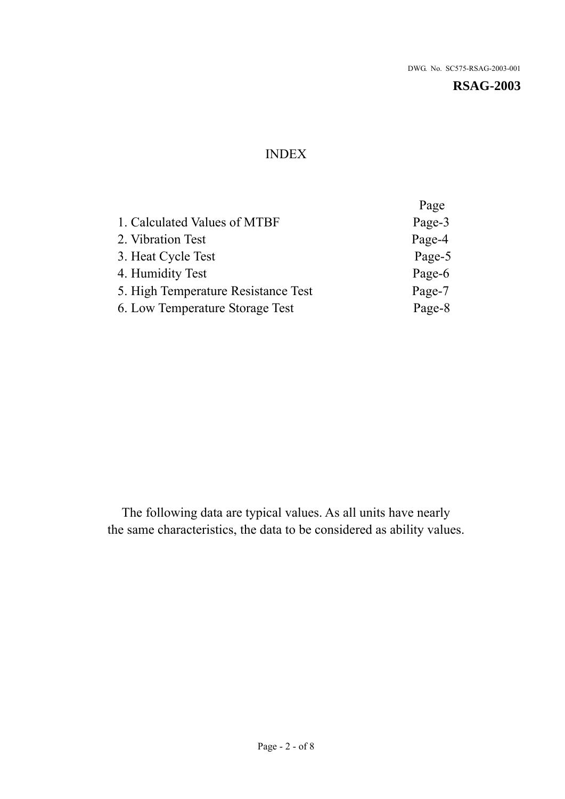### INDEX

|                                     | Page   |
|-------------------------------------|--------|
| 1. Calculated Values of MTBF        | Page-3 |
| 2. Vibration Test                   | Page-4 |
| 3. Heat Cycle Test                  | Page-5 |
| 4. Humidity Test                    | Page-6 |
| 5. High Temperature Resistance Test | Page-7 |
| 6. Low Temperature Storage Test     | Page-8 |
|                                     |        |

The following data are typical values. As all units have nearly the same characteristics, the data to be considered as ability values.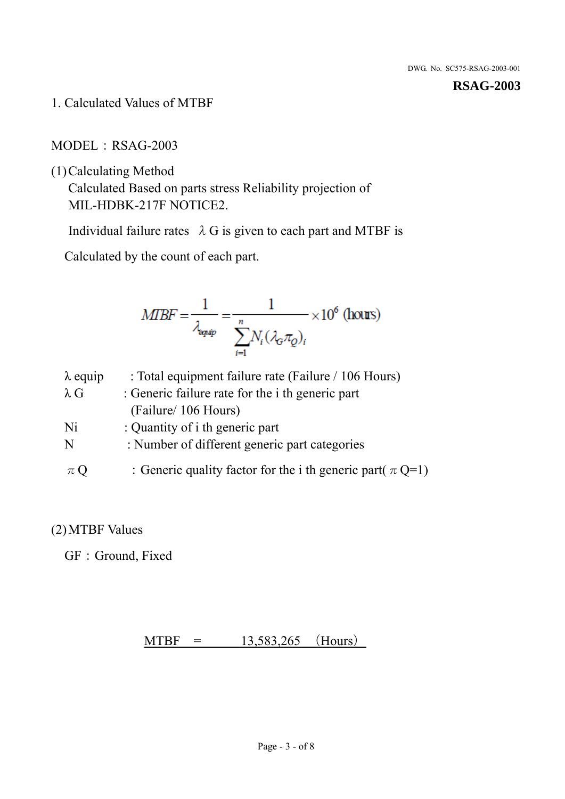1. Calculated Values of MTBF

MODEL: RSAG-2003

(1)Calculating Method

Calculated Based on parts stress Reliability projection of MIL-HDBK-217F NOTICE2.

Individual failure rates  $\lambda$  G is given to each part and MTBF is

Calculated by the count of each part.

$$
MIBF = \frac{1}{\lambda_{\text{expap}}} = \frac{1}{\sum_{i=1}^{n} N_i (\lambda_{\text{G}} \pi_Q)_i} \times 10^6 \text{ (hours)}
$$

| $\lambda$ equip | : Total equipment failure rate (Failure / 106 Hours)            |
|-----------------|-----------------------------------------------------------------|
| $\lambda$ G     | : Generic failure rate for the <i>i</i> th generic part         |
|                 | (Failure/ 106 Hours)                                            |
| Ni              | : Quantity of i th generic part                                 |
| N               | : Number of different generic part categories                   |
| $\pi Q$         | : Generic quality factor for the i th generic part( $\pi Q=1$ ) |

#### (2)MTBF Values

GF: Ground, Fixed

 $MTBF = 13,583,265$  (Hours)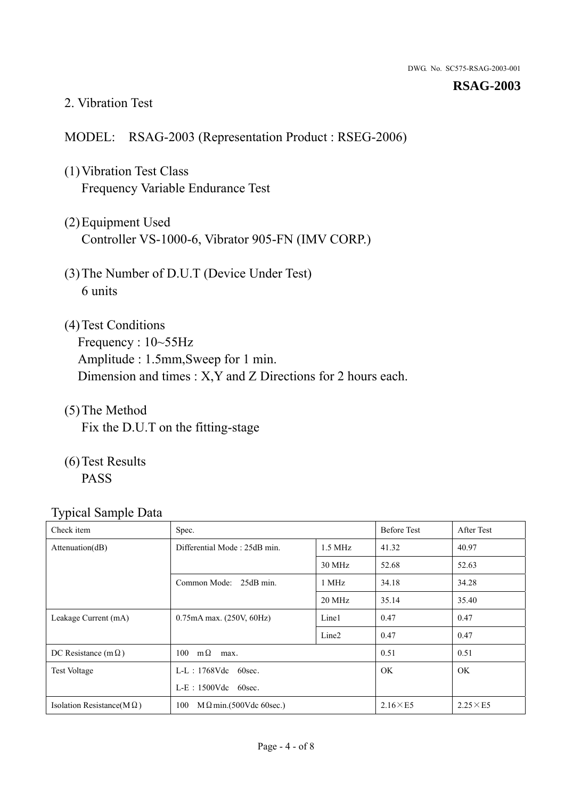#### 2. Vibration Test

#### MODEL: RSAG-2003 (Representation Product : RSEG-2006)

- (1)Vibration Test Class Frequency Variable Endurance Test
- (2)Equipment Used Controller VS-1000-6, Vibrator 905-FN (IMV CORP.)
- (3)The Number of D.U.T (Device Under Test) 6 units
- (4) Test Conditions Frequency : 10~55Hz Amplitude : 1.5mm,Sweep for 1 min. Dimension and times : X,Y and Z Directions for 2 hours each.
- (5)The Method Fix the D.U.T on the fitting-stage
- (6)Test Results PASS

| ┙┸<br>Check item                  | Spec.                                             |                   | <b>Before Test</b> | After Test      |
|-----------------------------------|---------------------------------------------------|-------------------|--------------------|-----------------|
| Attenuation(dB)                   | Differential Mode: 25dB min.<br>$1.5 \text{ MHz}$ |                   | 41.32              | 40.97           |
|                                   |                                                   | 30 MHz            | 52.68              | 52.63           |
|                                   | Common Mode: 25dB min.                            | 1 MHz             | 34.18              | 34.28           |
|                                   |                                                   | 20 MHz            | 35.14              | 35.40           |
| Leakage Current (mA)              | $0.75mA$ max. $(250V, 60Hz)$                      | Line1             | 0.47               | 0.47            |
|                                   |                                                   | Line <sub>2</sub> | 0.47               | 0.47            |
| DC Resistance (m $\Omega$ )       | $100 \text{ m}\Omega$<br>max.                     |                   | 0.51               | 0.51            |
| <b>Test Voltage</b>               | $L-L$ : 1768Vdc 60sec.                            |                   | <b>OK</b>          | OK              |
|                                   | $L-E$ : 1500Vdc 60sec.                            |                   |                    |                 |
| Isolation Resistance(M $\Omega$ ) | $M\Omega$ min.(500Vdc 60sec.)<br>100              |                   | $2.16\times E5$    | $2.25\times E5$ |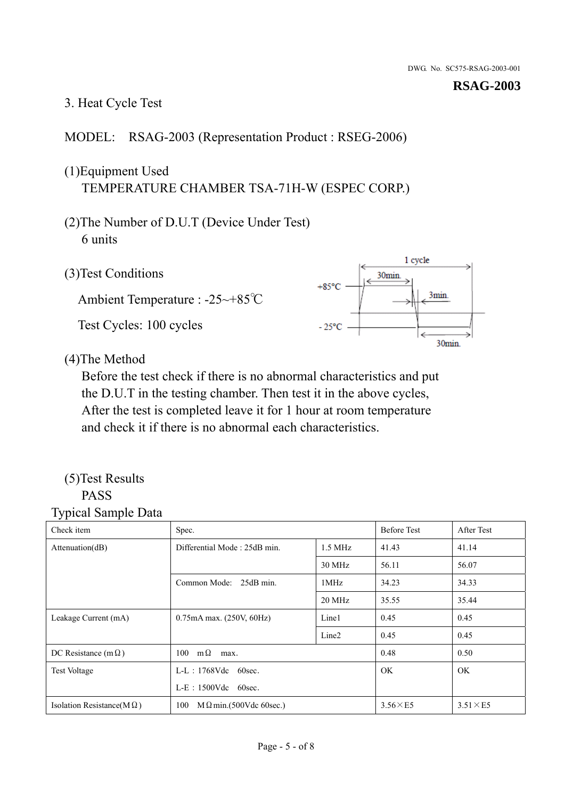#### 3. Heat Cycle Test

#### MODEL: RSAG-2003 (Representation Product : RSEG-2006)

## (1)Equipment Used TEMPERATURE CHAMBER TSA-71H-W (ESPEC CORP.)

- (2)The Number of D.U.T (Device Under Test) 6 units
- 1 cycle (3)Test Conditions 30<sub>min</sub>  $+85^{\circ}$ C 3min. Ambient Temperature : -25~+85℃ Test Cycles: 100 cycles  $-25^{\circ}$ C 30min.

(4)The Method

Before the test check if there is no abnormal characteristics and put the D.U.T in the testing chamber. Then test it in the above cycles, After the test is completed leave it for 1 hour at room temperature and check it if there is no abnormal each characteristics.

#### (5)Test Results PASS

| ┙┸<br>$\mathbf{I}$<br>Check item  | Spec.                                     |                   | <b>Before Test</b> | After Test      |
|-----------------------------------|-------------------------------------------|-------------------|--------------------|-----------------|
| Attention(dB)                     | Differential Mode: 25dB min.<br>$1.5$ MHz |                   | 41.43              | 41.14           |
|                                   |                                           | 30 MHz            | 56.11              | 56.07           |
|                                   | Common Mode: 25dB min.                    | 1MHz              | 34.23              | 34.33           |
|                                   |                                           | 20 MHz            | 35.55              | 35.44           |
| Leakage Current (mA)              | $0.75mA$ max. $(250V, 60Hz)$              | Line1             | 0.45               | 0.45            |
|                                   |                                           | Line <sub>2</sub> | 0.45               | 0.45            |
| DC Resistance (m $\Omega$ )       | $100 \quad m\Omega$<br>max.               |                   | 0.48               | 0.50            |
| <b>Test Voltage</b>               | $L-L$ : 1768Vdc 60sec.                    |                   | OK.                | OK.             |
|                                   | $L-E$ : 1500Vdc 60sec.                    |                   |                    |                 |
| Isolation Resistance(M $\Omega$ ) | 100<br>$M\Omega$ min.(500Vdc 60sec.)      |                   | $3.56\times E5$    | $3.51\times E5$ |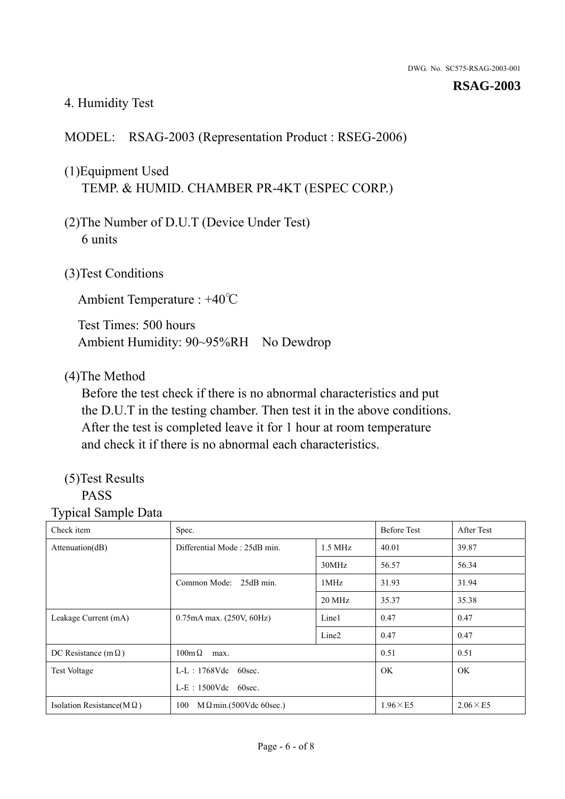#### 4. Humidity Test

#### MODEL: RSAG-2003 (Representation Product : RSEG-2006)

## (1)Equipment Used TEMP. & HUMID. CHAMBER PR-4KT (ESPEC CORP.)

- (2)The Number of D.U.T (Device Under Test) 6 units
- (3)Test Conditions

Ambient Temperature : +40℃

Test Times: 500 hours Ambient Humidity: 90~95%RH No Dewdrop

#### (4)The Method

Before the test check if there is no abnormal characteristics and put the D.U.T in the testing chamber. Then test it in the above conditions. After the test is completed leave it for 1 hour at room temperature and check it if there is no abnormal each characteristics.

## (5)Test Results

#### PASS

| Check item                        | Spec.                                     |                   | <b>Before Test</b> | After Test      |
|-----------------------------------|-------------------------------------------|-------------------|--------------------|-----------------|
| Attenuation(dB)                   | Differential Mode: 25dB min.<br>$1.5$ MHz |                   | 40.01              | 39.87           |
|                                   |                                           | 30MHz             | 56.57              | 56.34           |
|                                   | Common Mode: 25dB min.                    | 1MHz              | 31.93              | 31.94           |
|                                   |                                           | 20 MHz            | 35.37              | 35.38           |
| Leakage Current (mA)              | 0.75mA max. (250V, 60Hz)                  | Line1             | 0.47               | 0.47            |
|                                   |                                           | Line <sub>2</sub> | 0.47               | 0.47            |
| DC Resistance (m $\Omega$ )       | $100 \text{m}\,\Omega$<br>max.            |                   | 0.51               | 0.51            |
| <b>Test Voltage</b>               | $L-L$ : 1768Vdc 60sec.                    |                   | OK.                | OK.             |
|                                   | $L-E$ : 1500Vdc 60sec.                    |                   |                    |                 |
| Isolation Resistance(M $\Omega$ ) | $M \Omega$ min.(500Vdc 60sec.)<br>100     |                   | $1.96\times E5$    | $2.06\times E5$ |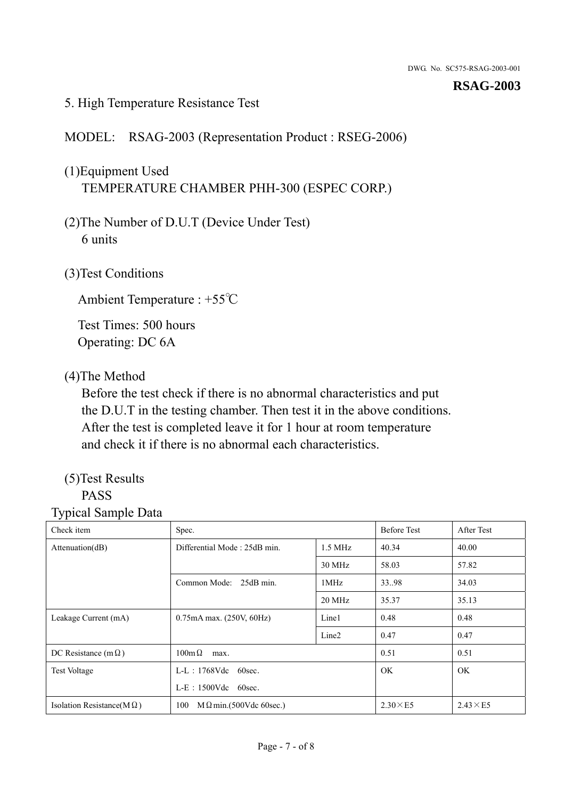#### 5. High Temperature Resistance Test

MODEL: RSAG-2003 (Representation Product : RSEG-2006)

## (1)Equipment Used TEMPERATURE CHAMBER PHH-300 (ESPEC CORP.)

- (2)The Number of D.U.T (Device Under Test) 6 units
- (3)Test Conditions

Ambient Temperature : +55℃

Test Times: 500 hours Operating: DC 6A

#### (4)The Method

Before the test check if there is no abnormal characteristics and put the D.U.T in the testing chamber. Then test it in the above conditions. After the test is completed leave it for 1 hour at room temperature and check it if there is no abnormal each characteristics.

## (5)Test Results

## PASS

| Check item                        | Spec.                                     |                   | <b>Before Test</b> | After Test      |
|-----------------------------------|-------------------------------------------|-------------------|--------------------|-----------------|
| Attenuation(dB)                   | Differential Mode: 25dB min.<br>$1.5$ MHz |                   | 40.34              | 40.00           |
|                                   |                                           | 30 MHz            | 58.03              | 57.82           |
|                                   | Common Mode: 25dB min.                    | 1MHz              | 33.98              | 34.03           |
|                                   |                                           | 20 MHz            | 35.37              | 35.13           |
| Leakage Current (mA)              | 0.75mA max. (250V, 60Hz)                  | Line1             | 0.48               | 0.48            |
|                                   |                                           | Line <sub>2</sub> | 0.47               | 0.47            |
| DC Resistance (m $\Omega$ )       | $100 \text{m}\,\Omega$<br>max.            |                   | 0.51               | 0.51            |
| <b>Test Voltage</b>               | $L-L$ : 1768Vdc 60sec.                    |                   | OK.                | OK.             |
|                                   | $L-E$ : 1500Vdc 60sec.                    |                   |                    |                 |
| Isolation Resistance(M $\Omega$ ) | $M \Omega$ min.(500Vdc 60sec.)<br>100     |                   | $2.30\times E5$    | $2.43\times E5$ |